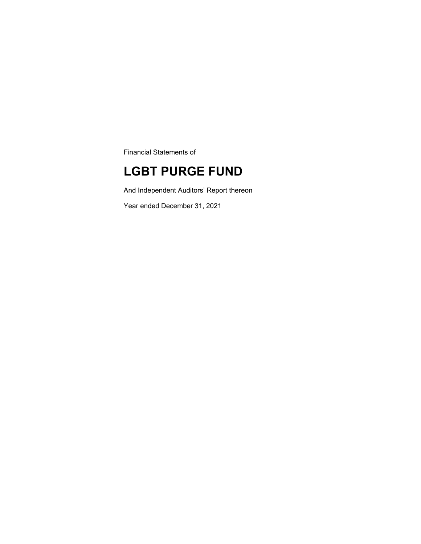Financial Statements of

## **LGBT PURGE FUND**

And Independent Auditors' Report thereon

Year ended December 31, 2021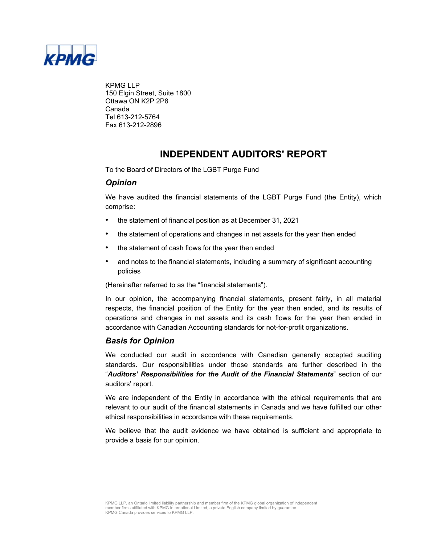

KPMG LLP 150 Elgin Street, Suite 1800 Ottawa ON K2P 2P8 Canada Tel 613-212-5764 Fax 613-212-2896

### **INDEPENDENT AUDITORS' REPORT**

To the Board of Directors of the LGBT Purge Fund

### *Opinion*

We have audited the financial statements of the LGBT Purge Fund (the Entity), which comprise:

- the statement of financial position as at December 31, 2021
- the statement of operations and changes in net assets for the year then ended
- the statement of cash flows for the year then ended
- and notes to the financial statements, including a summary of significant accounting policies

(Hereinafter referred to as the "financial statements").

In our opinion, the accompanying financial statements, present fairly, in all material respects, the financial position of the Entity for the year then ended, and its results of operations and changes in net assets and its cash flows for the year then ended in accordance with Canadian Accounting standards for not-for-profit organizations.

### *Basis for Opinion*

We conducted our audit in accordance with Canadian generally accepted auditing standards. Our responsibilities under those standards are further described in the "*Auditors' Responsibilities for the Audit of the Financial Statements*" section of our auditors' report.

We are independent of the Entity in accordance with the ethical requirements that are relevant to our audit of the financial statements in Canada and we have fulfilled our other ethical responsibilities in accordance with these requirements.

We believe that the audit evidence we have obtained is sufficient and appropriate to provide a basis for our opinion.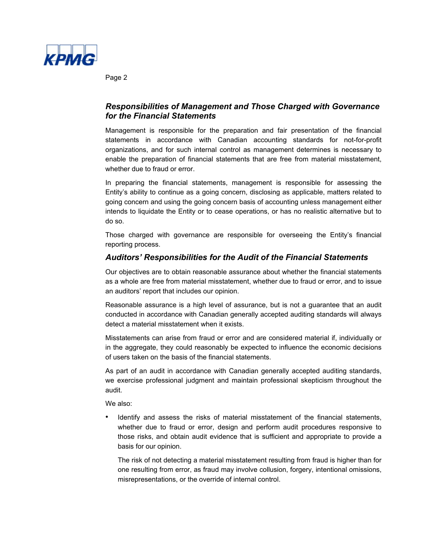

Page 2

### *Responsibilities of Management and Those Charged with Governance for the Financial Statements*

Management is responsible for the preparation and fair presentation of the financial statements in accordance with Canadian accounting standards for not-for-profit organizations, and for such internal control as management determines is necessary to enable the preparation of financial statements that are free from material misstatement, whether due to fraud or error.

In preparing the financial statements, management is responsible for assessing the Entity's ability to continue as a going concern, disclosing as applicable, matters related to going concern and using the going concern basis of accounting unless management either intends to liquidate the Entity or to cease operations, or has no realistic alternative but to do so.

Those charged with governance are responsible for overseeing the Entity's financial reporting process.

### *Auditors' Responsibilities for the Audit of the Financial Statements*

Our objectives are to obtain reasonable assurance about whether the financial statements as a whole are free from material misstatement, whether due to fraud or error, and to issue an auditors' report that includes our opinion.

Reasonable assurance is a high level of assurance, but is not a guarantee that an audit conducted in accordance with Canadian generally accepted auditing standards will always detect a material misstatement when it exists.

Misstatements can arise from fraud or error and are considered material if, individually or in the aggregate, they could reasonably be expected to influence the economic decisions of users taken on the basis of the financial statements.

As part of an audit in accordance with Canadian generally accepted auditing standards, we exercise professional judgment and maintain professional skepticism throughout the audit.

We also:

• Identify and assess the risks of material misstatement of the financial statements, whether due to fraud or error, design and perform audit procedures responsive to those risks, and obtain audit evidence that is sufficient and appropriate to provide a basis for our opinion.

The risk of not detecting a material misstatement resulting from fraud is higher than for one resulting from error, as fraud may involve collusion, forgery, intentional omissions, misrepresentations, or the override of internal control.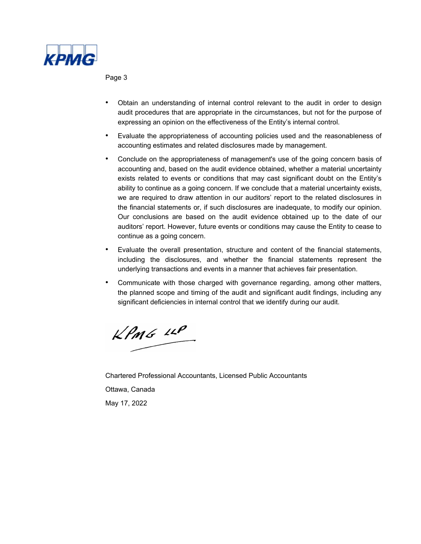

Page 3

- Obtain an understanding of internal control relevant to the audit in order to design audit procedures that are appropriate in the circumstances, but not for the purpose of expressing an opinion on the effectiveness of the Entity's internal control.
- Evaluate the appropriateness of accounting policies used and the reasonableness of accounting estimates and related disclosures made by management.
- Conclude on the appropriateness of management's use of the going concern basis of accounting and, based on the audit evidence obtained, whether a material uncertainty exists related to events or conditions that may cast significant doubt on the Entity's ability to continue as a going concern. If we conclude that a material uncertainty exists, we are required to draw attention in our auditors' report to the related disclosures in the financial statements or, if such disclosures are inadequate, to modify our opinion. Our conclusions are based on the audit evidence obtained up to the date of our auditors' report. However, future events or conditions may cause the Entity to cease to continue as a going concern.
- Evaluate the overall presentation, structure and content of the financial statements, including the disclosures, and whether the financial statements represent the underlying transactions and events in a manner that achieves fair presentation.
- Communicate with those charged with governance regarding, among other matters, the planned scope and timing of the audit and significant audit findings, including any significant deficiencies in internal control that we identify during our audit.

 $KPMG$  11P

Chartered Professional Accountants, Licensed Public Accountants Ottawa, Canada May 17, 2022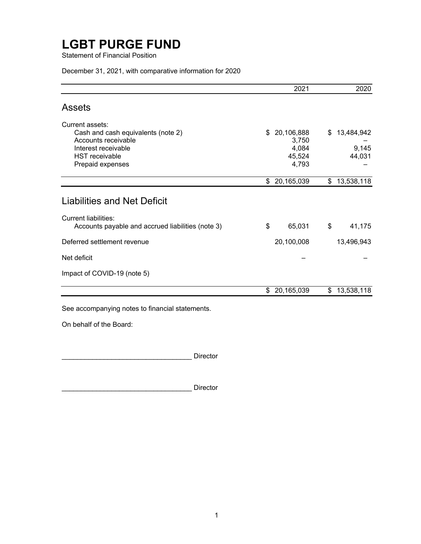Statement of Financial Position

December 31, 2021, with comparative information for 2020

|                                                                                                                                                  | 2021                                                  | 2020                                |
|--------------------------------------------------------------------------------------------------------------------------------------------------|-------------------------------------------------------|-------------------------------------|
| <b>Assets</b>                                                                                                                                    |                                                       |                                     |
| Current assets:<br>Cash and cash equivalents (note 2)<br>Accounts receivable<br>Interest receivable<br><b>HST</b> receivable<br>Prepaid expenses | \$<br>20,106,888<br>3,750<br>4,084<br>45,524<br>4,793 | \$<br>13,484,942<br>9,145<br>44,031 |
|                                                                                                                                                  | \$<br>20,165,039                                      | \$<br>13,538,118                    |
| <b>Liabilities and Net Deficit</b>                                                                                                               |                                                       |                                     |
| Current liabilities:<br>Accounts payable and accrued liabilities (note 3)                                                                        | \$<br>65,031                                          | \$<br>41,175                        |
| Deferred settlement revenue                                                                                                                      | 20,100,008                                            | 13,496,943                          |
| Net deficit                                                                                                                                      |                                                       |                                     |
| Impact of COVID-19 (note 5)                                                                                                                      |                                                       |                                     |
|                                                                                                                                                  | \$<br>20,165,039                                      | \$<br>13,538,118                    |

See accompanying notes to financial statements.

On behalf of the Board:

\_\_\_\_\_\_\_\_\_\_\_\_\_\_\_\_\_\_\_\_\_\_\_\_\_\_\_\_\_\_\_\_\_\_ Director

Director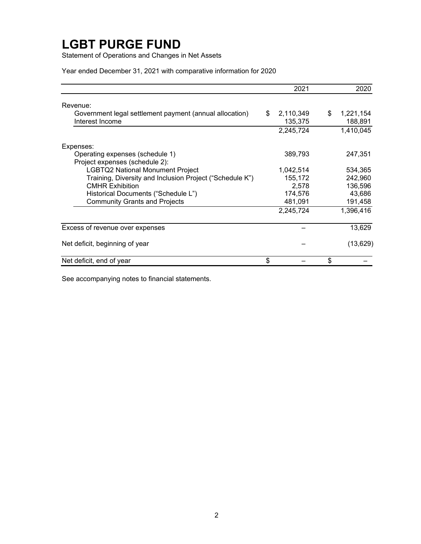Statement of Operations and Changes in Net Assets

Year ended December 31, 2021 with comparative information for 2020

|                                                                            | 2021                       | 2020                       |
|----------------------------------------------------------------------------|----------------------------|----------------------------|
| Revenue:                                                                   |                            |                            |
| Government legal settlement payment (annual allocation)<br>Interest Income | \$<br>2,110,349<br>135,375 | \$<br>1,221,154<br>188,891 |
|                                                                            | 2,245,724                  | 1,410,045                  |
| Expenses:                                                                  |                            |                            |
| Operating expenses (schedule 1)<br>Project expenses (schedule 2):          | 389,793                    | 247,351                    |
| <b>LGBTQ2 National Monument Project</b>                                    | 1,042,514                  | 534,365                    |
| Training, Diversity and Inclusion Project ("Schedule K")                   | 155,172                    | 242,960                    |
| <b>CMHR Exhibition</b>                                                     | 2,578                      | 136,596                    |
| Historical Documents ("Schedule L")                                        | 174,576                    | 43,686                     |
| <b>Community Grants and Projects</b>                                       | 481,091                    | 191,458                    |
|                                                                            | 2,245,724                  | 1,396,416                  |
| Excess of revenue over expenses                                            |                            | 13,629                     |
| Net deficit, beginning of year                                             |                            | (13, 629)                  |
| Net deficit, end of year                                                   | \$                         | \$                         |

See accompanying notes to financial statements.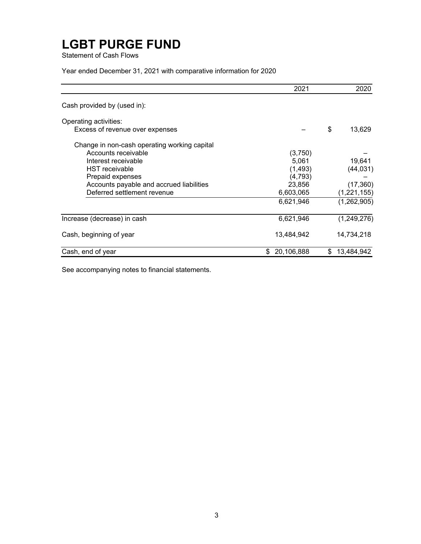Statement of Cash Flows

Year ended December 31, 2021 with comparative information for 2020

|                                              | 2021             | 2020             |
|----------------------------------------------|------------------|------------------|
| Cash provided by (used in):                  |                  |                  |
| Operating activities:                        |                  |                  |
| Excess of revenue over expenses              |                  | \$<br>13,629     |
| Change in non-cash operating working capital |                  |                  |
| Accounts receivable                          | (3,750)          |                  |
| Interest receivable                          | 5,061            | 19,641           |
| <b>HST</b> receivable                        | (1, 493)         | (44, 031)        |
| Prepaid expenses                             | (4, 793)         |                  |
| Accounts payable and accrued liabilities     | 23,856           | (17, 360)        |
| Deferred settlement revenue                  | 6,603,065        | (1, 221, 155)    |
|                                              | 6,621,946        | (1,262,905)      |
| Increase (decrease) in cash                  | 6,621,946        | (1,249,276)      |
| Cash, beginning of year                      | 13,484,942       | 14,734,218       |
| Cash, end of year                            | 20,106,888<br>\$ | \$<br>13,484,942 |

See accompanying notes to financial statements.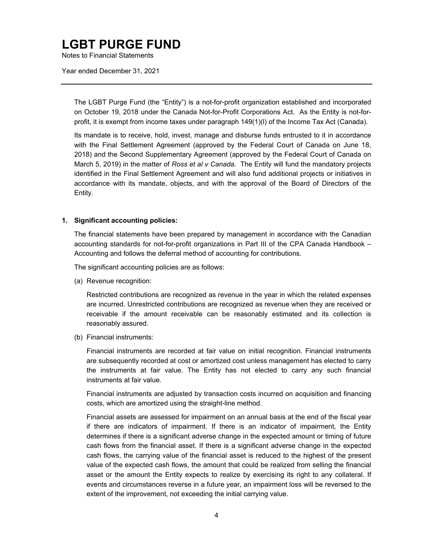Notes to Financial Statements

Year ended December 31, 2021

The LGBT Purge Fund (the "Entity") is a not-for-profit organization established and incorporated on October 19, 2018 under the Canada Not-for-Profit Corporations Act. As the Entity is not-forprofit, it is exempt from income taxes under paragraph 149(1)(l) of the Income Tax Act (Canada).

Its mandate is to receive, hold, invest, manage and disburse funds entrusted to it in accordance with the Final Settlement Agreement (approved by the Federal Court of Canada on June 18, 2018) and the Second Supplementary Agreement (approved by the Federal Court of Canada on March 5, 2019) in the matter of *Ross et al v Canada.* The Entity will fund the mandatory projects identified in the Final Settlement Agreement and will also fund additional projects or initiatives in accordance with its mandate, objects, and with the approval of the Board of Directors of the Entity.

#### **1. Significant accounting policies:**

The financial statements have been prepared by management in accordance with the Canadian accounting standards for not-for-profit organizations in Part III of the CPA Canada Handbook – Accounting and follows the deferral method of accounting for contributions.

The significant accounting policies are as follows:

(a) Revenue recognition:

Restricted contributions are recognized as revenue in the year in which the related expenses are incurred. Unrestricted contributions are recognized as revenue when they are received or receivable if the amount receivable can be reasonably estimated and its collection is reasonably assured.

(b) Financial instruments:

Financial instruments are recorded at fair value on initial recognition. Financial instruments are subsequently recorded at cost or amortized cost unless management has elected to carry the instruments at fair value. The Entity has not elected to carry any such financial instruments at fair value.

Financial instruments are adjusted by transaction costs incurred on acquisition and financing costs, which are amortized using the straight-line method.

Financial assets are assessed for impairment on an annual basis at the end of the fiscal year if there are indicators of impairment. If there is an indicator of impairment, the Entity determines if there is a significant adverse change in the expected amount or timing of future cash flows from the financial asset. If there is a significant adverse change in the expected cash flows, the carrying value of the financial asset is reduced to the highest of the present value of the expected cash flows, the amount that could be realized from selling the financial asset or the amount the Entity expects to realize by exercising its right to any collateral. If events and circumstances reverse in a future year, an impairment loss will be reversed to the extent of the improvement, not exceeding the initial carrying value.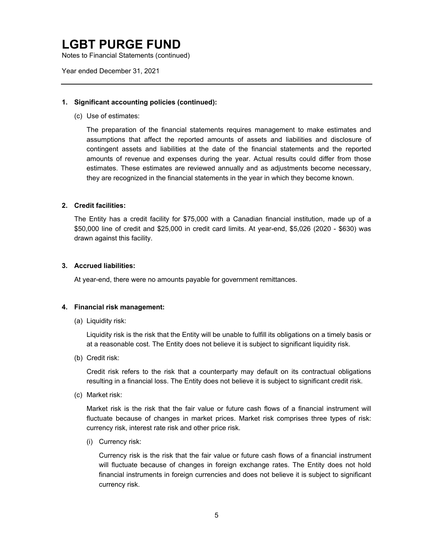Notes to Financial Statements (continued)

Year ended December 31, 2021

#### **1. Significant accounting policies (continued):**

(c) Use of estimates:

The preparation of the financial statements requires management to make estimates and assumptions that affect the reported amounts of assets and liabilities and disclosure of contingent assets and liabilities at the date of the financial statements and the reported amounts of revenue and expenses during the year. Actual results could differ from those estimates. These estimates are reviewed annually and as adjustments become necessary, they are recognized in the financial statements in the year in which they become known.

#### **2. Credit facilities:**

The Entity has a credit facility for \$75,000 with a Canadian financial institution, made up of a \$50,000 line of credit and \$25,000 in credit card limits. At year-end, \$5,026 (2020 - \$630) was drawn against this facility.

#### **3. Accrued liabilities:**

At year-end, there were no amounts payable for government remittances.

#### **4. Financial risk management:**

(a) Liquidity risk:

Liquidity risk is the risk that the Entity will be unable to fulfill its obligations on a timely basis or at a reasonable cost. The Entity does not believe it is subject to significant liquidity risk.

(b) Credit risk:

Credit risk refers to the risk that a counterparty may default on its contractual obligations resulting in a financial loss. The Entity does not believe it is subject to significant credit risk.

(c) Market risk:

Market risk is the risk that the fair value or future cash flows of a financial instrument will fluctuate because of changes in market prices. Market risk comprises three types of risk: currency risk, interest rate risk and other price risk.

(i) Currency risk:

Currency risk is the risk that the fair value or future cash flows of a financial instrument will fluctuate because of changes in foreign exchange rates. The Entity does not hold financial instruments in foreign currencies and does not believe it is subject to significant currency risk.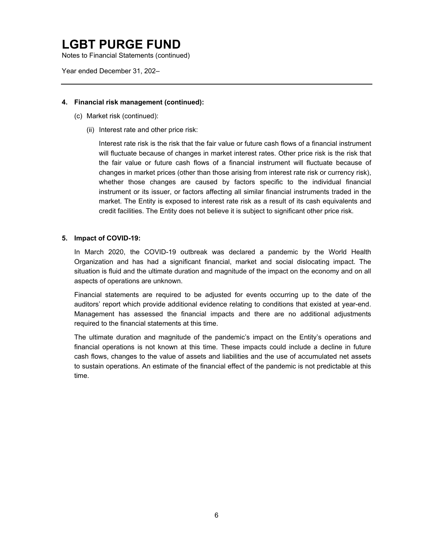Notes to Financial Statements (continued)

Year ended December 31, 202–

#### **4. Financial risk management (continued):**

- (c) Market risk (continued):
	- (ii) Interest rate and other price risk:

Interest rate risk is the risk that the fair value or future cash flows of a financial instrument will fluctuate because of changes in market interest rates. Other price risk is the risk that the fair value or future cash flows of a financial instrument will fluctuate because of changes in market prices (other than those arising from interest rate risk or currency risk), whether those changes are caused by factors specific to the individual financial instrument or its issuer, or factors affecting all similar financial instruments traded in the market. The Entity is exposed to interest rate risk as a result of its cash equivalents and credit facilities. The Entity does not believe it is subject to significant other price risk.

#### **5. Impact of COVID-19:**

In March 2020, the COVID-19 outbreak was declared a pandemic by the World Health Organization and has had a significant financial, market and social dislocating impact. The situation is fluid and the ultimate duration and magnitude of the impact on the economy and on all aspects of operations are unknown.

Financial statements are required to be adjusted for events occurring up to the date of the auditors' report which provide additional evidence relating to conditions that existed at year-end. Management has assessed the financial impacts and there are no additional adjustments required to the financial statements at this time.

The ultimate duration and magnitude of the pandemic's impact on the Entity's operations and financial operations is not known at this time. These impacts could include a decline in future cash flows, changes to the value of assets and liabilities and the use of accumulated net assets to sustain operations. An estimate of the financial effect of the pandemic is not predictable at this time.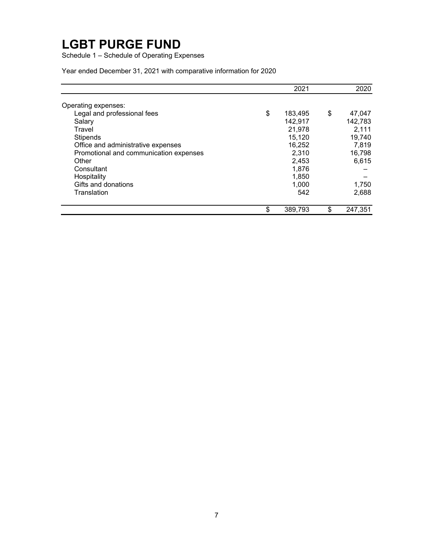Schedule 1 – Schedule of Operating Expenses

Year ended December 31, 2021 with comparative information for 2020

|                                        | 2021          | 2020          |
|----------------------------------------|---------------|---------------|
| Operating expenses:                    |               |               |
| Legal and professional fees            | \$<br>183,495 | \$<br>47,047  |
| Salary                                 | 142,917       | 142,783       |
| Travel                                 | 21,978        | 2,111         |
| <b>Stipends</b>                        | 15.120        | 19,740        |
| Office and administrative expenses     | 16,252        | 7,819         |
| Promotional and communication expenses | 2,310         | 16,798        |
| Other                                  | 2,453         | 6,615         |
| Consultant                             | 1.876         |               |
| Hospitality                            | 1,850         |               |
| Gifts and donations                    | 1,000         | 1,750         |
| Translation                            | 542           | 2,688         |
|                                        | \$<br>389,793 | \$<br>247,351 |